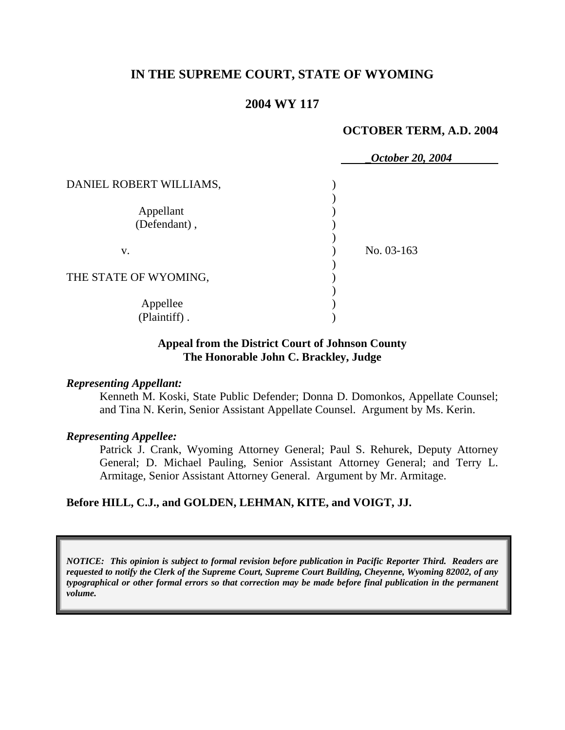# **IN THE SUPREME COURT, STATE OF WYOMING**

## **2004 WY 117**

### **OCTOBER TERM, A.D. 2004**

|                           | October 20, 2004 |
|---------------------------|------------------|
| DANIEL ROBERT WILLIAMS,   |                  |
| Appellant<br>(Defendant), |                  |
| V.                        | No. 03-163       |
| THE STATE OF WYOMING,     |                  |
| Appellee<br>(Plaintiff).  |                  |

### **Appeal from the District Court of Johnson County The Honorable John C. Brackley, Judge**

### *Representing Appellant:*

Kenneth M. Koski, State Public Defender; Donna D. Domonkos, Appellate Counsel; and Tina N. Kerin, Senior Assistant Appellate Counsel. Argument by Ms. Kerin.

### *Representing Appellee:*

Patrick J. Crank, Wyoming Attorney General; Paul S. Rehurek, Deputy Attorney General; D. Michael Pauling, Senior Assistant Attorney General; and Terry L. Armitage, Senior Assistant Attorney General. Argument by Mr. Armitage.

### **Before HILL, C.J., and GOLDEN, LEHMAN, KITE, and VOIGT, JJ.**

*NOTICE: This opinion is subject to formal revision before publication in Pacific Reporter Third. Readers are requested to notify the Clerk of the Supreme Court, Supreme Court Building, Cheyenne, Wyoming 82002, of any typographical or other formal errors so that correction may be made before final publication in the permanent volume.*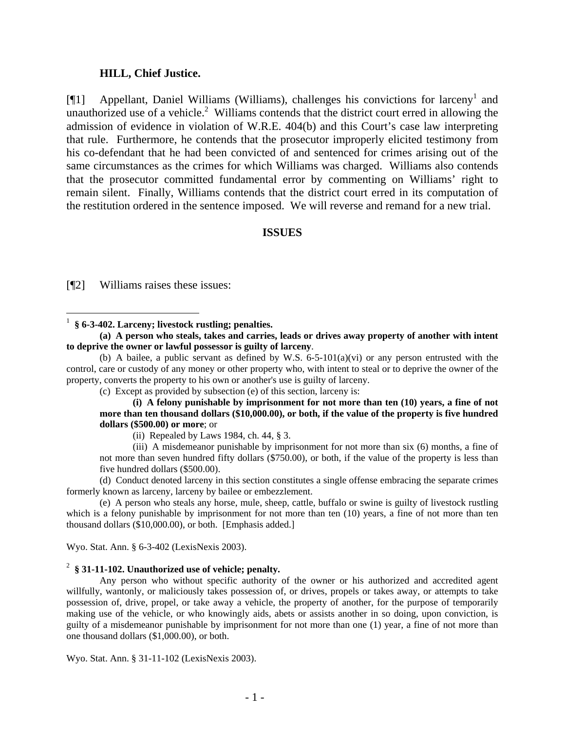#### **HILL, Chief Justice.**

[¶1] Appellant, Daniel Williams (Williams), challenges his convictions for larceny<sup>1</sup> and unauthorized use of a vehicle.<sup>2</sup> Williams contends that the district court erred in allowing the admission of evidence in violation of W.R.E. 404(b) and this Court's case law interpreting that rule. Furthermore, he contends that the prosecutor improperly elicited testimony from his co-defendant that he had been convicted of and sentenced for crimes arising out of the same circumstances as the crimes for which Williams was charged. Williams also contends that the prosecutor committed fundamental error by commenting on Williams' right to remain silent. Finally, Williams contends that the district court erred in its computation of the restitution ordered in the sentence imposed. We will reverse and remand for a new trial.

### **ISSUES**

[¶2] Williams raises these issues:

**(a) A person who steals, takes and carries, leads or drives away property of another with intent to deprive the owner or lawful possessor is guilty of larceny**.

(b) A bailee, a public servant as defined by W.S.  $6-5-101(a)(vi)$  or any person entrusted with the control, care or custody of any money or other property who, with intent to steal or to deprive the owner of the property, converts the property to his own or another's use is guilty of larceny.

(c) Except as provided by subsection (e) of this section, larceny is:

**(i) A felony punishable by imprisonment for not more than ten (10) years, a fine of not more than ten thousand dollars (\$10,000.00), or both, if the value of the property is five hundred dollars (\$500.00) or more**; or

(ii) Repealed by Laws 1984, ch. 44, § 3.

(iii) A misdemeanor punishable by imprisonment for not more than six (6) months, a fine of not more than seven hundred fifty dollars (\$750.00), or both, if the value of the property is less than five hundred dollars (\$500.00).

(d) Conduct denoted larceny in this section constitutes a single offense embracing the separate crimes formerly known as larceny, larceny by bailee or embezzlement.

(e) A person who steals any horse, mule, sheep, cattle, buffalo or swine is guilty of livestock rustling which is a felony punishable by imprisonment for not more than ten (10) years, a fine of not more than ten thousand dollars (\$10,000.00), or both. [Emphasis added.]

Wyo. Stat. Ann. § 6-3-402 (LexisNexis 2003).

### 2 **§ 31-11-102. Unauthorized use of vehicle; penalty.**

Any person who without specific authority of the owner or his authorized and accredited agent willfully, wantonly, or maliciously takes possession of, or drives, propels or takes away, or attempts to take possession of, drive, propel, or take away a vehicle, the property of another, for the purpose of temporarily making use of the vehicle, or who knowingly aids, abets or assists another in so doing, upon conviction, is guilty of a misdemeanor punishable by imprisonment for not more than one (1) year, a fine of not more than one thousand dollars (\$1,000.00), or both.

Wyo. Stat. Ann. § 31-11-102 (LexisNexis 2003).

<sup>1</sup> **§ 6-3-402. Larceny; livestock rustling; penalties.**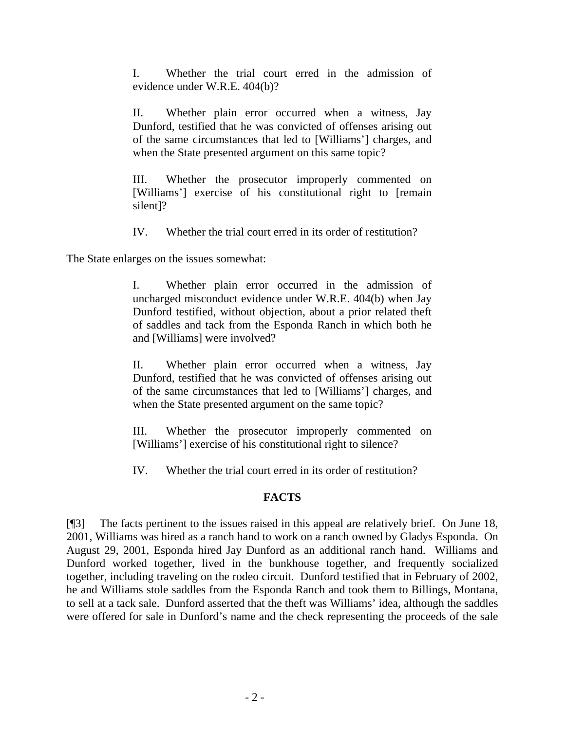I. Whether the trial court erred in the admission of evidence under W.R.E. 404(b)?

II. Whether plain error occurred when a witness, Jay Dunford, testified that he was convicted of offenses arising out of the same circumstances that led to [Williams'] charges, and when the State presented argument on this same topic?

III. Whether the prosecutor improperly commented on [Williams'] exercise of his constitutional right to [remain silent]?

IV. Whether the trial court erred in its order of restitution?

The State enlarges on the issues somewhat:

I. Whether plain error occurred in the admission of uncharged misconduct evidence under W.R.E. 404(b) when Jay Dunford testified, without objection, about a prior related theft of saddles and tack from the Esponda Ranch in which both he and [Williams] were involved?

II. Whether plain error occurred when a witness, Jay Dunford, testified that he was convicted of offenses arising out of the same circumstances that led to [Williams'] charges, and when the State presented argument on the same topic?

III. Whether the prosecutor improperly commented on [Williams'] exercise of his constitutional right to silence?

IV. Whether the trial court erred in its order of restitution?

# **FACTS**

[¶3] The facts pertinent to the issues raised in this appeal are relatively brief. On June 18, 2001, Williams was hired as a ranch hand to work on a ranch owned by Gladys Esponda. On August 29, 2001, Esponda hired Jay Dunford as an additional ranch hand. Williams and Dunford worked together, lived in the bunkhouse together, and frequently socialized together, including traveling on the rodeo circuit. Dunford testified that in February of 2002, he and Williams stole saddles from the Esponda Ranch and took them to Billings, Montana, to sell at a tack sale. Dunford asserted that the theft was Williams' idea, although the saddles were offered for sale in Dunford's name and the check representing the proceeds of the sale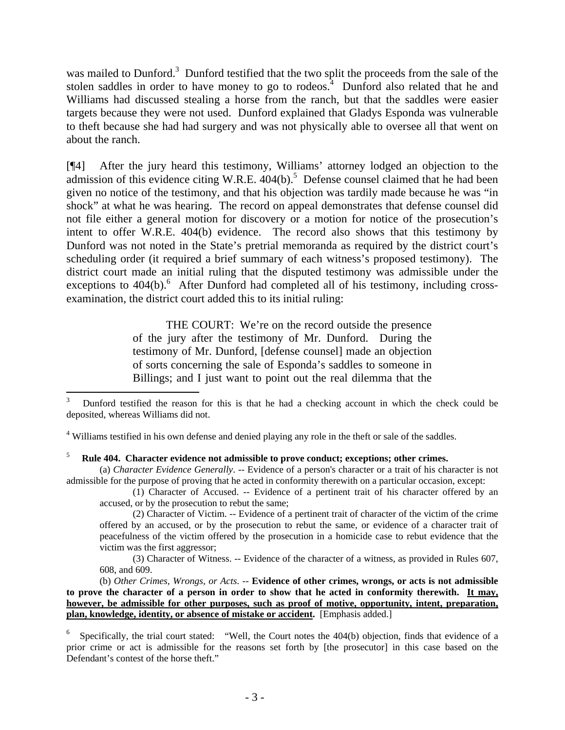was mailed to Dunford.<sup>3</sup> Dunford testified that the two split the proceeds from the sale of the stolen saddles in order to have money to go to rodeos.<sup>4</sup> Dunford also related that he and Williams had discussed stealing a horse from the ranch, but that the saddles were easier targets because they were not used. Dunford explained that Gladys Esponda was vulnerable to theft because she had had surgery and was not physically able to oversee all that went on about the ranch.

[¶4] After the jury heard this testimony, Williams' attorney lodged an objection to the admission of this evidence citing W.R.E.  $404(b)$ .<sup>5</sup> Defense counsel claimed that he had been given no notice of the testimony, and that his objection was tardily made because he was "in shock" at what he was hearing. The record on appeal demonstrates that defense counsel did not file either a general motion for discovery or a motion for notice of the prosecution's intent to offer W.R.E. 404(b) evidence. The record also shows that this testimony by Dunford was not noted in the State's pretrial memoranda as required by the district court's scheduling order (it required a brief summary of each witness's proposed testimony). The district court made an initial ruling that the disputed testimony was admissible under the exceptions to 404(b).<sup>6</sup> After Dunford had completed all of his testimony, including crossexamination, the district court added this to its initial ruling:

> THE COURT: We're on the record outside the presence of the jury after the testimony of Mr. Dunford. During the testimony of Mr. Dunford, [defense counsel] made an objection of sorts concerning the sale of Esponda's saddles to someone in Billings; and I just want to point out the real dilemma that the

<sup>4</sup> Williams testified in his own defense and denied playing any role in the theft or sale of the saddles.

 $\overline{a}$ 

(a) *Character Evidence Generally*. -- Evidence of a person's character or a trait of his character is not admissible for the purpose of proving that he acted in conformity therewith on a particular occasion, except:

(1) Character of Accused. -- Evidence of a pertinent trait of his character offered by an accused, or by the prosecution to rebut the same;

(2) Character of Victim. -- Evidence of a pertinent trait of character of the victim of the crime offered by an accused, or by the prosecution to rebut the same, or evidence of a character trait of peacefulness of the victim offered by the prosecution in a homicide case to rebut evidence that the victim was the first aggressor;

(3) Character of Witness. -- Evidence of the character of a witness, as provided in Rules 607, 608, and 609.

 (b) *Other Crimes, Wrongs, or Acts*. -- **Evidence of other crimes, wrongs, or acts is not admissible to prove the character of a person in order to show that he acted in conformity therewith. It may, however, be admissible for other purposes, such as proof of motive, opportunity, intent, preparation, plan, knowledge, identity, or absence of mistake or accident.** [Emphasis added.]

<sup>3</sup> Dunford testified the reason for this is that he had a checking account in which the check could be deposited, whereas Williams did not.

<sup>5</sup> **Rule 404. Character evidence not admissible to prove conduct; exceptions; other crimes.**

<sup>6</sup> Specifically, the trial court stated: "Well, the Court notes the 404(b) objection, finds that evidence of a prior crime or act is admissible for the reasons set forth by [the prosecutor] in this case based on the Defendant's contest of the horse theft."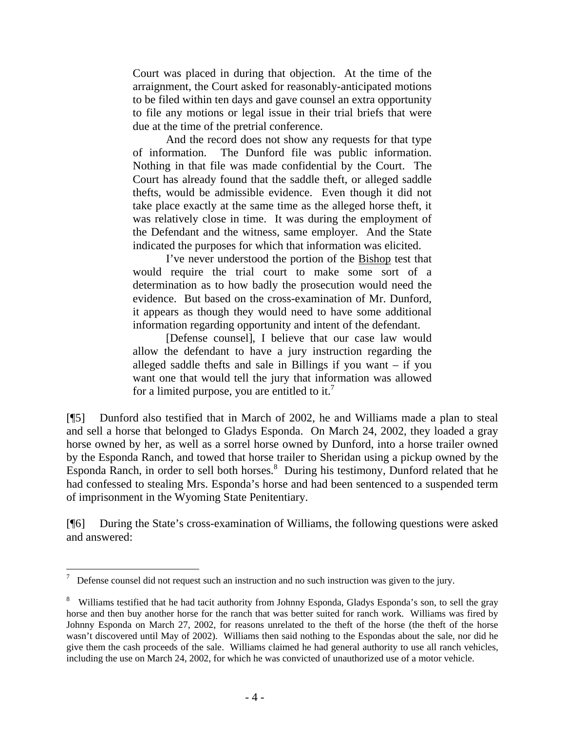Court was placed in during that objection. At the time of the arraignment, the Court asked for reasonably-anticipated motions to be filed within ten days and gave counsel an extra opportunity to file any motions or legal issue in their trial briefs that were due at the time of the pretrial conference.

And the record does not show any requests for that type of information. The Dunford file was public information. Nothing in that file was made confidential by the Court. The Court has already found that the saddle theft, or alleged saddle thefts, would be admissible evidence. Even though it did not take place exactly at the same time as the alleged horse theft, it was relatively close in time. It was during the employment of the Defendant and the witness, same employer. And the State indicated the purposes for which that information was elicited.

I've never understood the portion of the Bishop test that would require the trial court to make some sort of a determination as to how badly the prosecution would need the evidence. But based on the cross-examination of Mr. Dunford, it appears as though they would need to have some additional information regarding opportunity and intent of the defendant.

[Defense counsel], I believe that our case law would allow the defendant to have a jury instruction regarding the alleged saddle thefts and sale in Billings if you want – if you want one that would tell the jury that information was allowed for a limited purpose, you are entitled to it.<sup>7</sup>

[¶5] Dunford also testified that in March of 2002, he and Williams made a plan to steal and sell a horse that belonged to Gladys Esponda. On March 24, 2002, they loaded a gray horse owned by her, as well as a sorrel horse owned by Dunford, into a horse trailer owned by the Esponda Ranch, and towed that horse trailer to Sheridan using a pickup owned by the Esponda Ranch, in order to sell both horses.<sup>8</sup> During his testimony, Dunford related that he had confessed to stealing Mrs. Esponda's horse and had been sentenced to a suspended term of imprisonment in the Wyoming State Penitentiary.

[¶6] During the State's cross-examination of Williams, the following questions were asked and answered:

 $\overline{a}$  Defense counsel did not request such an instruction and no such instruction was given to the jury.

<sup>&</sup>lt;sup>8</sup> Williams testified that he had tacit authority from Johnny Esponda, Gladys Esponda's son, to sell the gray horse and then buy another horse for the ranch that was better suited for ranch work. Williams was fired by Johnny Esponda on March 27, 2002, for reasons unrelated to the theft of the horse (the theft of the horse wasn't discovered until May of 2002). Williams then said nothing to the Espondas about the sale, nor did he give them the cash proceeds of the sale. Williams claimed he had general authority to use all ranch vehicles, including the use on March 24, 2002, for which he was convicted of unauthorized use of a motor vehicle.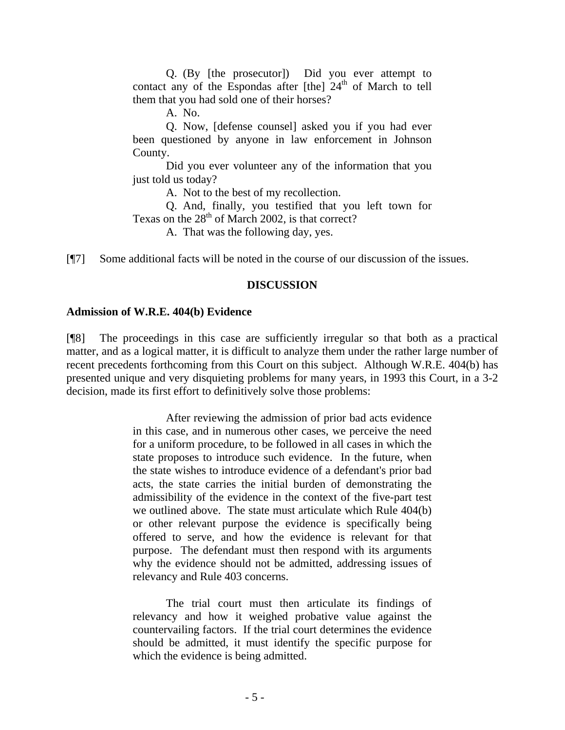Q. (By [the prosecutor]) Did you ever attempt to contact any of the Espondas after  $[the]$  24<sup>th</sup> of March to tell them that you had sold one of their horses?

A. No.

Q. Now, [defense counsel] asked you if you had ever been questioned by anyone in law enforcement in Johnson County.

Did you ever volunteer any of the information that you just told us today?

A. Not to the best of my recollection.

Q. And, finally, you testified that you left town for Texas on the  $28<sup>th</sup>$  of March 2002, is that correct?

A. That was the following day, yes.

[¶7] Some additional facts will be noted in the course of our discussion of the issues.

### **DISCUSSION**

## **Admission of W.R.E. 404(b) Evidence**

[¶8] The proceedings in this case are sufficiently irregular so that both as a practical matter, and as a logical matter, it is difficult to analyze them under the rather large number of recent precedents forthcoming from this Court on this subject. Although W.R.E. 404(b) has presented unique and very disquieting problems for many years, in 1993 this Court, in a 3-2 decision, made its first effort to definitively solve those problems:

> After reviewing the admission of prior bad acts evidence in this case, and in numerous other cases, we perceive the need for a uniform procedure, to be followed in all cases in which the state proposes to introduce such evidence. In the future, when the state wishes to introduce evidence of a defendant's prior bad acts, the state carries the initial burden of demonstrating the admissibility of the evidence in the context of the five-part test we outlined above. The state must articulate which Rule 404(b) or other relevant purpose the evidence is specifically being offered to serve, and how the evidence is relevant for that purpose. The defendant must then respond with its arguments why the evidence should not be admitted, addressing issues of relevancy and Rule 403 concerns.

> The trial court must then articulate its findings of relevancy and how it weighed probative value against the countervailing factors. If the trial court determines the evidence should be admitted, it must identify the specific purpose for which the evidence is being admitted.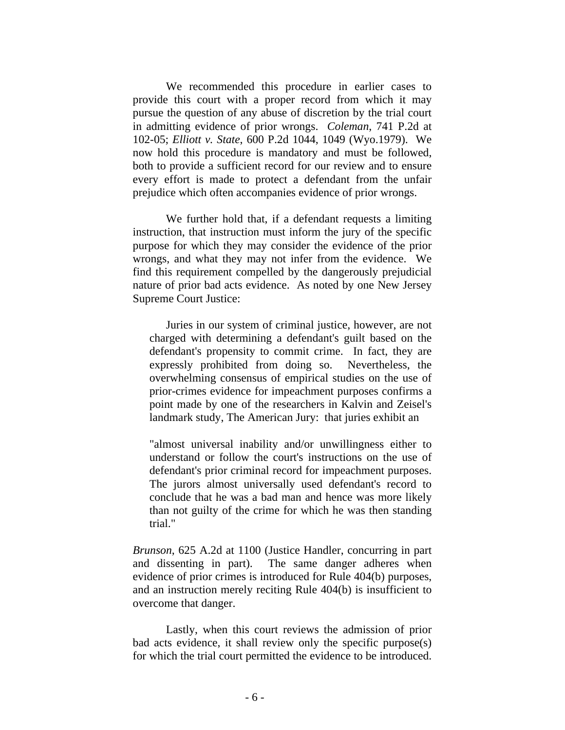We recommended this procedure in earlier cases to provide this court with a proper record from which it may pursue the question of any abuse of discretion by the trial court in admitting evidence of prior wrongs. *Coleman*, 741 P.2d at 102-05; *Elliott v. State*, 600 P.2d 1044, 1049 (Wyo.1979). We now hold this procedure is mandatory and must be followed, both to provide a sufficient record for our review and to ensure every effort is made to protect a defendant from the unfair prejudice which often accompanies evidence of prior wrongs.

We further hold that, if a defendant requests a limiting instruction, that instruction must inform the jury of the specific purpose for which they may consider the evidence of the prior wrongs, and what they may not infer from the evidence. We find this requirement compelled by the dangerously prejudicial nature of prior bad acts evidence. As noted by one New Jersey Supreme Court Justice:

Juries in our system of criminal justice, however, are not charged with determining a defendant's guilt based on the defendant's propensity to commit crime. In fact, they are expressly prohibited from doing so. Nevertheless, the overwhelming consensus of empirical studies on the use of prior-crimes evidence for impeachment purposes confirms a point made by one of the researchers in Kalvin and Zeisel's landmark study, The American Jury: that juries exhibit an

"almost universal inability and/or unwillingness either to understand or follow the court's instructions on the use of defendant's prior criminal record for impeachment purposes. The jurors almost universally used defendant's record to conclude that he was a bad man and hence was more likely than not guilty of the crime for which he was then standing trial."

*Brunson*, 625 A.2d at 1100 (Justice Handler, concurring in part and dissenting in part). The same danger adheres when evidence of prior crimes is introduced for Rule 404(b) purposes, and an instruction merely reciting Rule 404(b) is insufficient to overcome that danger.

Lastly, when this court reviews the admission of prior bad acts evidence, it shall review only the specific purpose(s) for which the trial court permitted the evidence to be introduced.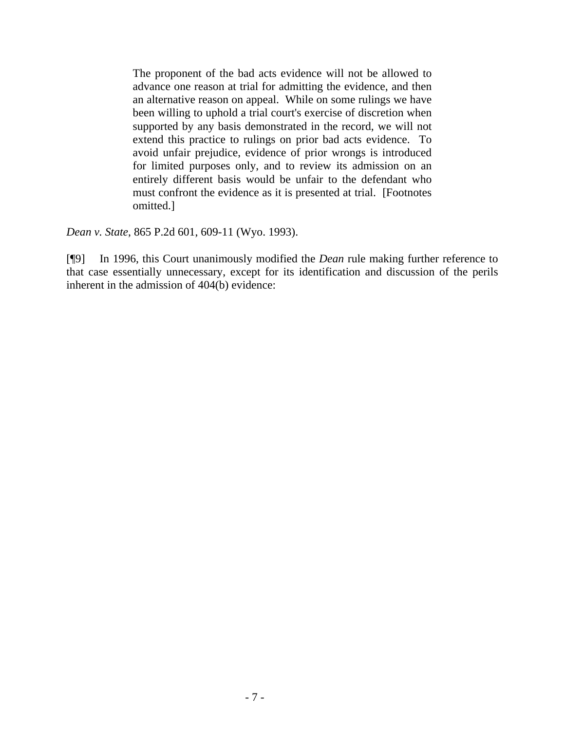The proponent of the bad acts evidence will not be allowed to advance one reason at trial for admitting the evidence, and then an alternative reason on appeal. While on some rulings we have been willing to uphold a trial court's exercise of discretion when supported by any basis demonstrated in the record, we will not extend this practice to rulings on prior bad acts evidence. To avoid unfair prejudice, evidence of prior wrongs is introduced for limited purposes only, and to review its admission on an entirely different basis would be unfair to the defendant who must confront the evidence as it is presented at trial. [Footnotes omitted.]

*Dean v. State*, 865 P.2d 601, 609-11 (Wyo. 1993).

[¶9] In 1996, this Court unanimously modified the *Dean* rule making further reference to that case essentially unnecessary, except for its identification and discussion of the perils inherent in the admission of 404(b) evidence: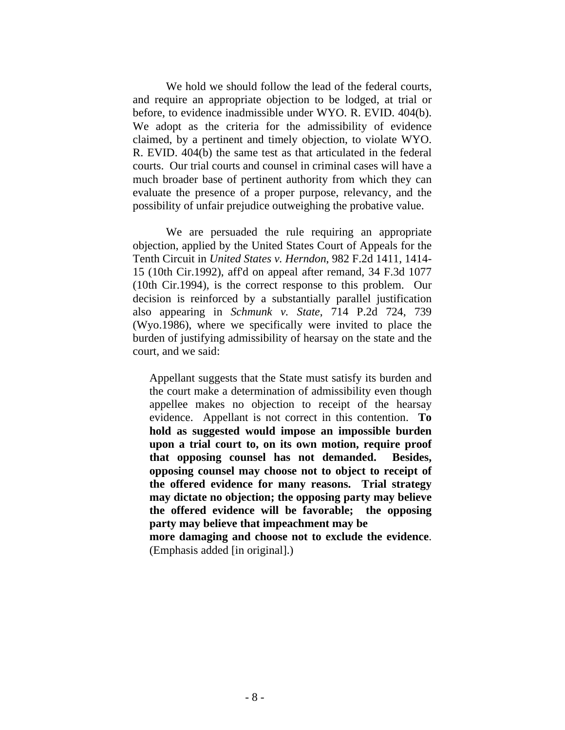We hold we should follow the lead of the federal courts, and require an appropriate objection to be lodged, at trial or before, to evidence inadmissible under WYO. R. EVID. 404(b). We adopt as the criteria for the admissibility of evidence claimed, by a pertinent and timely objection, to violate WYO. R. EVID. 404(b) the same test as that articulated in the federal courts. Our trial courts and counsel in criminal cases will have a much broader base of pertinent authority from which they can evaluate the presence of a proper purpose, relevancy, and the possibility of unfair prejudice outweighing the probative value.

We are persuaded the rule requiring an appropriate objection, applied by the United States Court of Appeals for the Tenth Circuit in *United States v. Herndon*, 982 F.2d 1411, 1414- 15 (10th Cir.1992), aff'd on appeal after remand, 34 F.3d 1077 (10th Cir.1994), is the correct response to this problem. Our decision is reinforced by a substantially parallel justification also appearing in *Schmunk v. State*, 714 P.2d 724, 739 (Wyo.1986), where we specifically were invited to place the burden of justifying admissibility of hearsay on the state and the court, and we said:

Appellant suggests that the State must satisfy its burden and the court make a determination of admissibility even though appellee makes no objection to receipt of the hearsay evidence. Appellant is not correct in this contention. **To hold as suggested would impose an impossible burden upon a trial court to, on its own motion, require proof that opposing counsel has not demanded. Besides, opposing counsel may choose not to object to receipt of the offered evidence for many reasons. Trial strategy may dictate no objection; the opposing party may believe the offered evidence will be favorable; the opposing party may believe that impeachment may be** 

**more damaging and choose not to exclude the evidence**. (Emphasis added [in original].)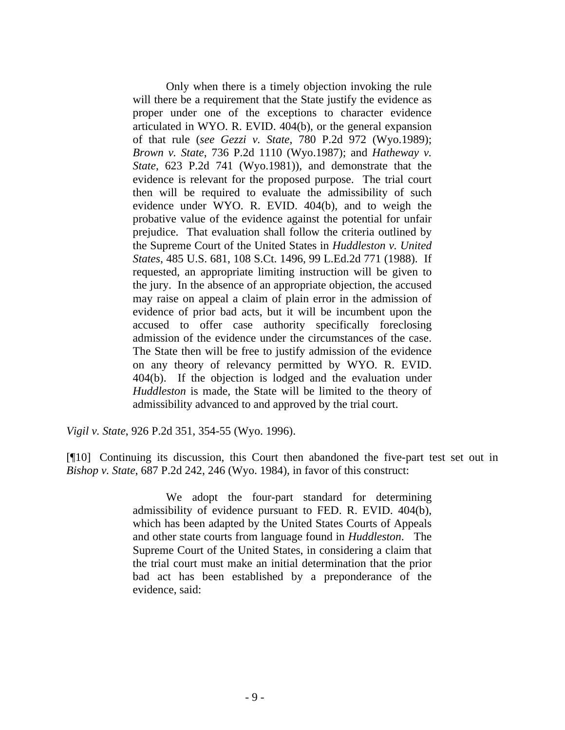Only when there is a timely objection invoking the rule will there be a requirement that the State justify the evidence as proper under one of the exceptions to character evidence articulated in WYO. R. EVID. 404(b), or the general expansion of that rule (*see Gezzi v. State*, 780 P.2d 972 (Wyo.1989); *Brown v. State*, 736 P.2d 1110 (Wyo.1987); and *Hatheway v. State*, 623 P.2d 741 (Wyo.1981)), and demonstrate that the evidence is relevant for the proposed purpose. The trial court then will be required to evaluate the admissibility of such evidence under WYO. R. EVID. 404(b), and to weigh the probative value of the evidence against the potential for unfair prejudice. That evaluation shall follow the criteria outlined by the Supreme Court of the United States in *Huddleston v. United States*, 485 U.S. 681, 108 S.Ct. 1496, 99 L.Ed.2d 771 (1988). If requested, an appropriate limiting instruction will be given to the jury. In the absence of an appropriate objection, the accused may raise on appeal a claim of plain error in the admission of evidence of prior bad acts, but it will be incumbent upon the accused to offer case authority specifically foreclosing admission of the evidence under the circumstances of the case. The State then will be free to justify admission of the evidence on any theory of relevancy permitted by WYO. R. EVID. 404(b). If the objection is lodged and the evaluation under *Huddleston* is made, the State will be limited to the theory of admissibility advanced to and approved by the trial court.

*Vigil v. State*, 926 P.2d 351, 354-55 (Wyo. 1996).

[¶10] Continuing its discussion, this Court then abandoned the five-part test set out in *Bishop v. State*, 687 P.2d 242, 246 (Wyo. 1984), in favor of this construct:

> We adopt the four-part standard for determining admissibility of evidence pursuant to FED. R. EVID. 404(b), which has been adapted by the United States Courts of Appeals and other state courts from language found in *Huddleston*. The Supreme Court of the United States, in considering a claim that the trial court must make an initial determination that the prior bad act has been established by a preponderance of the evidence, said: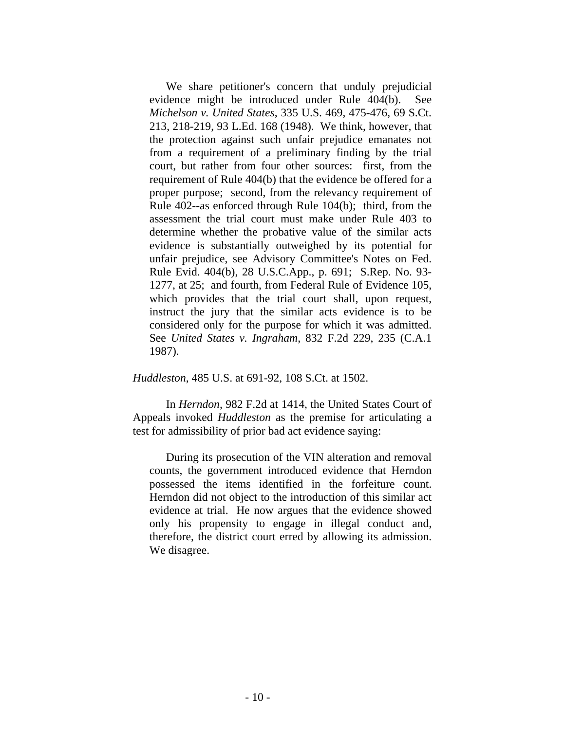We share petitioner's concern that unduly prejudicial evidence might be introduced under Rule 404(b). See *Michelson v. United States*, 335 U.S. 469, 475-476, 69 S.Ct. 213, 218-219, 93 L.Ed. 168 (1948). We think, however, that the protection against such unfair prejudice emanates not from a requirement of a preliminary finding by the trial court, but rather from four other sources: first, from the requirement of Rule 404(b) that the evidence be offered for a proper purpose; second, from the relevancy requirement of Rule 402--as enforced through Rule 104(b); third, from the assessment the trial court must make under Rule 403 to determine whether the probative value of the similar acts evidence is substantially outweighed by its potential for unfair prejudice, see Advisory Committee's Notes on Fed. Rule Evid. 404(b), 28 U.S.C.App., p. 691; S.Rep. No. 93- 1277, at 25; and fourth, from Federal Rule of Evidence 105, which provides that the trial court shall, upon request, instruct the jury that the similar acts evidence is to be considered only for the purpose for which it was admitted. See *United States v. Ingraham*, 832 F.2d 229, 235 (C.A.1 1987).

*Huddleston*, 485 U.S. at 691-92, 108 S.Ct. at 1502.

 In *Herndon*, 982 F.2d at 1414, the United States Court of Appeals invoked *Huddleston* as the premise for articulating a test for admissibility of prior bad act evidence saying:

During its prosecution of the VIN alteration and removal counts, the government introduced evidence that Herndon possessed the items identified in the forfeiture count. Herndon did not object to the introduction of this similar act evidence at trial. He now argues that the evidence showed only his propensity to engage in illegal conduct and, therefore, the district court erred by allowing its admission. We disagree.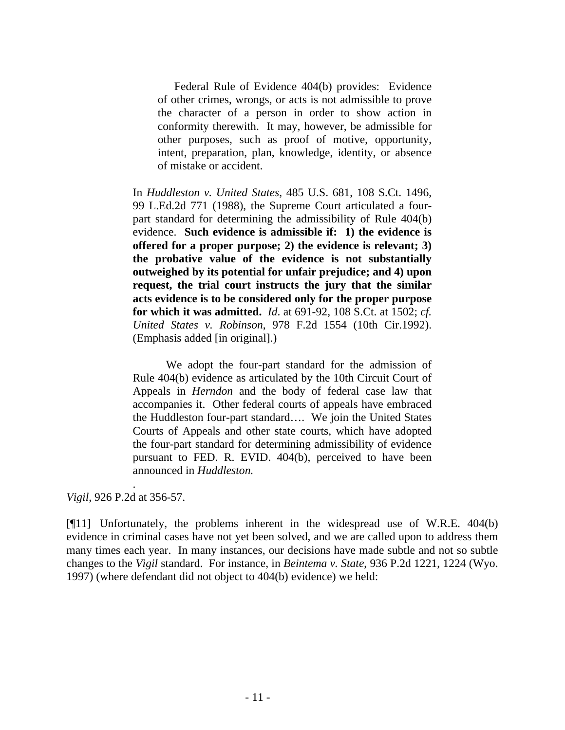Federal Rule of Evidence 404(b) provides: Evidence of other crimes, wrongs, or acts is not admissible to prove the character of a person in order to show action in conformity therewith. It may, however, be admissible for other purposes, such as proof of motive, opportunity, intent, preparation, plan, knowledge, identity, or absence of mistake or accident.

In *Huddleston v. United States*, 485 U.S. 681, 108 S.Ct. 1496, 99 L.Ed.2d 771 (1988), the Supreme Court articulated a fourpart standard for determining the admissibility of Rule 404(b) evidence. **Such evidence is admissible if: 1) the evidence is offered for a proper purpose; 2) the evidence is relevant; 3) the probative value of the evidence is not substantially outweighed by its potential for unfair prejudice; and 4) upon request, the trial court instructs the jury that the similar acts evidence is to be considered only for the proper purpose for which it was admitted.** *Id*. at 691-92, 108 S.Ct. at 1502; *cf. United States v. Robinson*, 978 F.2d 1554 (10th Cir.1992). (Emphasis added [in original].)

We adopt the four-part standard for the admission of Rule 404(b) evidence as articulated by the 10th Circuit Court of Appeals in *Herndon* and the body of federal case law that accompanies it. Other federal courts of appeals have embraced the Huddleston four-part standard…. We join the United States Courts of Appeals and other state courts, which have adopted the four-part standard for determining admissibility of evidence pursuant to FED. R. EVID. 404(b), perceived to have been announced in *Huddleston.* 

*Vigil*, 926 P.2d at 356-57.

.

[¶11] Unfortunately, the problems inherent in the widespread use of W.R.E. 404(b) evidence in criminal cases have not yet been solved, and we are called upon to address them many times each year. In many instances, our decisions have made subtle and not so subtle changes to the *Vigil* standard. For instance, in *Beintema v. State*, 936 P.2d 1221, 1224 (Wyo. 1997) (where defendant did not object to 404(b) evidence) we held: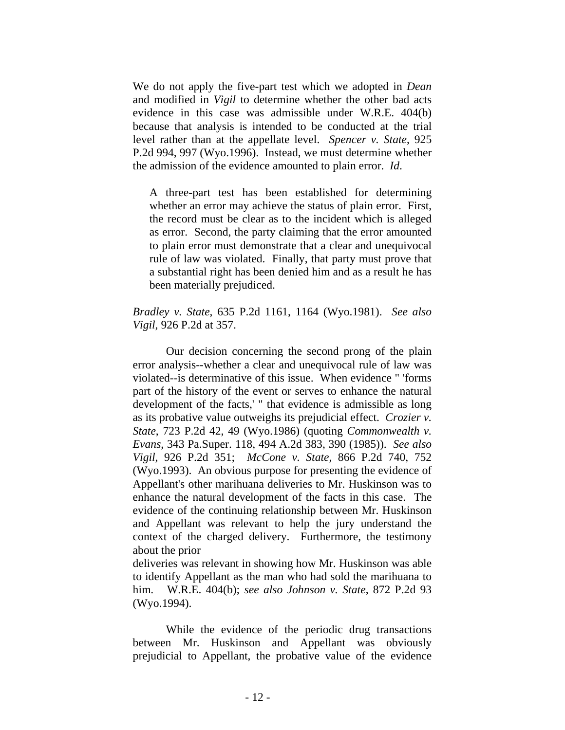We do not apply the five-part test which we adopted in *Dean* and modified in *Vigil* to determine whether the other bad acts evidence in this case was admissible under W.R.E. 404(b) because that analysis is intended to be conducted at the trial level rather than at the appellate level. *Spencer v. State*, 925 P.2d 994, 997 (Wyo.1996). Instead, we must determine whether the admission of the evidence amounted to plain error. *Id*.

A three-part test has been established for determining whether an error may achieve the status of plain error. First, the record must be clear as to the incident which is alleged as error. Second, the party claiming that the error amounted to plain error must demonstrate that a clear and unequivocal rule of law was violated. Finally, that party must prove that a substantial right has been denied him and as a result he has been materially prejudiced.

*Bradley v. State*, 635 P.2d 1161, 1164 (Wyo.1981). *See also Vigil*, 926 P.2d at 357.

Our decision concerning the second prong of the plain error analysis--whether a clear and unequivocal rule of law was violated--is determinative of this issue. When evidence " 'forms part of the history of the event or serves to enhance the natural development of the facts,' " that evidence is admissible as long as its probative value outweighs its prejudicial effect. *Crozier v. State*, 723 P.2d 42, 49 (Wyo.1986) (quoting *Commonwealth v. Evans*, 343 Pa.Super. 118, 494 A.2d 383, 390 (1985)). *See also Vigil*, 926 P.2d 351; *McCone v. State*, 866 P.2d 740, 752 (Wyo.1993). An obvious purpose for presenting the evidence of Appellant's other marihuana deliveries to Mr. Huskinson was to enhance the natural development of the facts in this case. The evidence of the continuing relationship between Mr. Huskinson and Appellant was relevant to help the jury understand the context of the charged delivery. Furthermore, the testimony about the prior

deliveries was relevant in showing how Mr. Huskinson was able to identify Appellant as the man who had sold the marihuana to him. W.R.E. 404(b); *see also Johnson v. State*, 872 P.2d 93 (Wyo.1994).

While the evidence of the periodic drug transactions between Mr. Huskinson and Appellant was obviously prejudicial to Appellant, the probative value of the evidence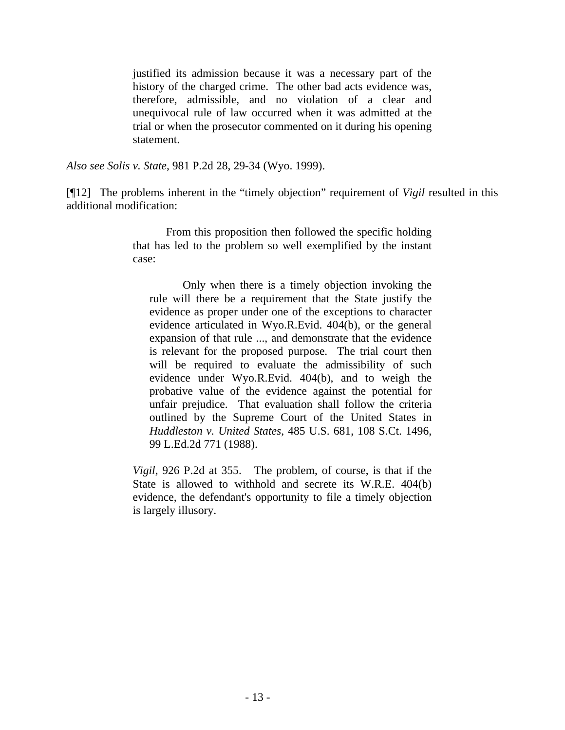justified its admission because it was a necessary part of the history of the charged crime. The other bad acts evidence was, therefore, admissible, and no violation of a clear and unequivocal rule of law occurred when it was admitted at the trial or when the prosecutor commented on it during his opening statement.

*Also see Solis v. State*, 981 P.2d 28, 29-34 (Wyo. 1999).

[¶12] The problems inherent in the "timely objection" requirement of *Vigil* resulted in this additional modification:

> From this proposition then followed the specific holding that has led to the problem so well exemplified by the instant case:

Only when there is a timely objection invoking the rule will there be a requirement that the State justify the evidence as proper under one of the exceptions to character evidence articulated in Wyo.R.Evid. 404(b), or the general expansion of that rule ..., and demonstrate that the evidence is relevant for the proposed purpose. The trial court then will be required to evaluate the admissibility of such evidence under Wyo.R.Evid. 404(b), and to weigh the probative value of the evidence against the potential for unfair prejudice. That evaluation shall follow the criteria outlined by the Supreme Court of the United States in *Huddleston v. United States*, 485 U.S. 681, 108 S.Ct. 1496, 99 L.Ed.2d 771 (1988).

*Vigil*, 926 P.2d at 355. The problem, of course, is that if the State is allowed to withhold and secrete its W.R.E. 404(b) evidence, the defendant's opportunity to file a timely objection is largely illusory.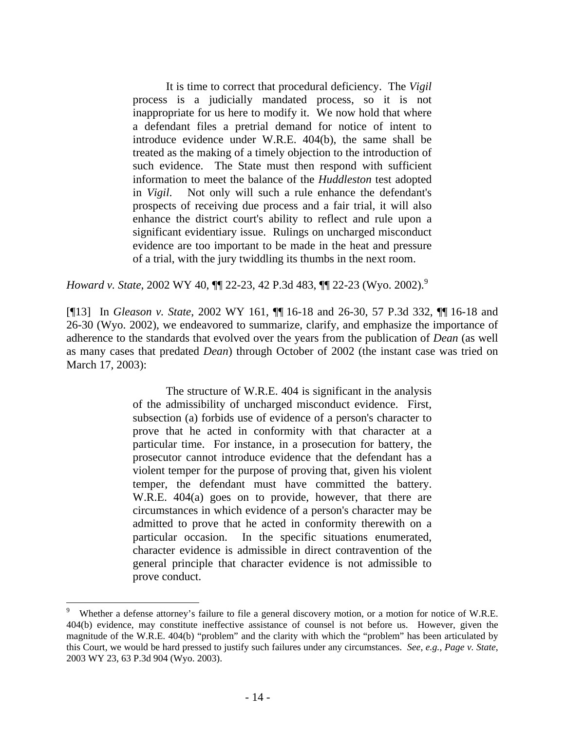It is time to correct that procedural deficiency. The *Vigil* process is a judicially mandated process, so it is not inappropriate for us here to modify it. We now hold that where a defendant files a pretrial demand for notice of intent to introduce evidence under W.R.E. 404(b), the same shall be treated as the making of a timely objection to the introduction of such evidence. The State must then respond with sufficient information to meet the balance of the *Huddleston* test adopted in *Vigil*. Not only will such a rule enhance the defendant's prospects of receiving due process and a fair trial, it will also enhance the district court's ability to reflect and rule upon a significant evidentiary issue. Rulings on uncharged misconduct evidence are too important to be made in the heat and pressure of a trial, with the jury twiddling its thumbs in the next room.

*Howard v. State*, 2002 WY 40,  $\P$  22-23, 42 P.3d 483,  $\P$  22-23 (Wyo. 2002).<sup>9</sup>

[¶13] In *Gleason v. State*, 2002 WY 161, ¶¶ 16-18 and 26-30, 57 P.3d 332, ¶¶ 16-18 and 26-30 (Wyo. 2002), we endeavored to summarize, clarify, and emphasize the importance of adherence to the standards that evolved over the years from the publication of *Dean* (as well as many cases that predated *Dean*) through October of 2002 (the instant case was tried on March 17, 2003):

> The structure of W.R.E. 404 is significant in the analysis of the admissibility of uncharged misconduct evidence. First, subsection (a) forbids use of evidence of a person's character to prove that he acted in conformity with that character at a particular time. For instance, in a prosecution for battery, the prosecutor cannot introduce evidence that the defendant has a violent temper for the purpose of proving that, given his violent temper, the defendant must have committed the battery. W.R.E. 404(a) goes on to provide, however, that there are circumstances in which evidence of a person's character may be admitted to prove that he acted in conformity therewith on a particular occasion. In the specific situations enumerated, character evidence is admissible in direct contravention of the general principle that character evidence is not admissible to prove conduct.

l

<sup>9</sup> Whether a defense attorney's failure to file a general discovery motion, or a motion for notice of W.R.E. 404(b) evidence, may constitute ineffective assistance of counsel is not before us. However, given the magnitude of the W.R.E. 404(b) "problem" and the clarity with which the "problem" has been articulated by this Court, we would be hard pressed to justify such failures under any circumstances. *See, e.g., Page v. State*, 2003 WY 23, 63 P.3d 904 (Wyo. 2003).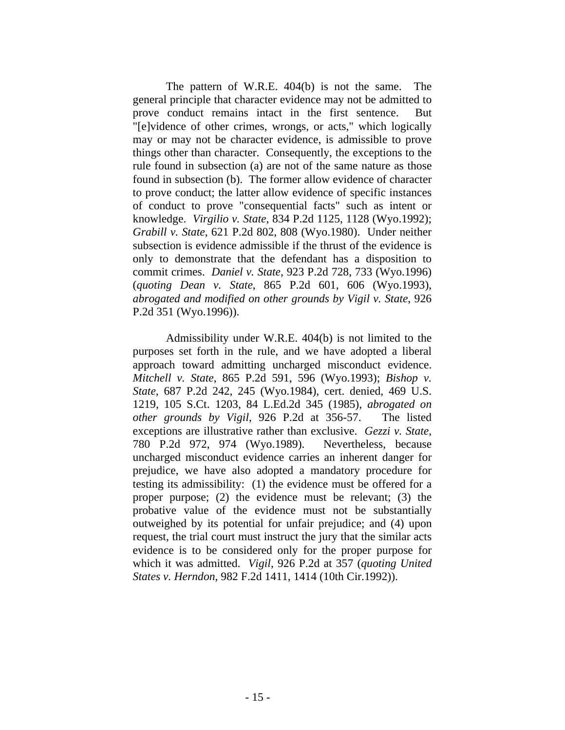The pattern of W.R.E. 404(b) is not the same. The general principle that character evidence may not be admitted to prove conduct remains intact in the first sentence. But "[e]vidence of other crimes, wrongs, or acts," which logically may or may not be character evidence, is admissible to prove things other than character. Consequently, the exceptions to the rule found in subsection (a) are not of the same nature as those found in subsection (b). The former allow evidence of character to prove conduct; the latter allow evidence of specific instances of conduct to prove "consequential facts" such as intent or knowledge. *Virgilio v. State*, 834 P.2d 1125, 1128 (Wyo.1992); *Grabill v. State*, 621 P.2d 802, 808 (Wyo.1980). Under neither subsection is evidence admissible if the thrust of the evidence is only to demonstrate that the defendant has a disposition to commit crimes. *Daniel v. State*, 923 P.2d 728, 733 (Wyo.1996) (*quoting Dean v. State*, 865 P.2d 601, 606 (Wyo.1993), *abrogated and modified on other grounds by Vigil v. State*, 926 P.2d 351 (Wyo.1996)).

Admissibility under W.R.E. 404(b) is not limited to the purposes set forth in the rule, and we have adopted a liberal approach toward admitting uncharged misconduct evidence. *Mitchell v. State*, 865 P.2d 591, 596 (Wyo.1993); *Bishop v. State*, 687 P.2d 242, 245 (Wyo.1984), cert. denied, 469 U.S. 1219, 105 S.Ct. 1203, 84 L.Ed.2d 345 (1985), *abrogated on other grounds by Vigil*, 926 P.2d at 356-57. The listed exceptions are illustrative rather than exclusive. *Gezzi v. State*, 780 P.2d 972, 974 (Wyo.1989). Nevertheless, because uncharged misconduct evidence carries an inherent danger for prejudice, we have also adopted a mandatory procedure for testing its admissibility: (1) the evidence must be offered for a proper purpose; (2) the evidence must be relevant; (3) the probative value of the evidence must not be substantially outweighed by its potential for unfair prejudice; and (4) upon request, the trial court must instruct the jury that the similar acts evidence is to be considered only for the proper purpose for which it was admitted. *Vigil*, 926 P.2d at 357 (*quoting United States v. Herndon*, 982 F.2d 1411, 1414 (10th Cir.1992)).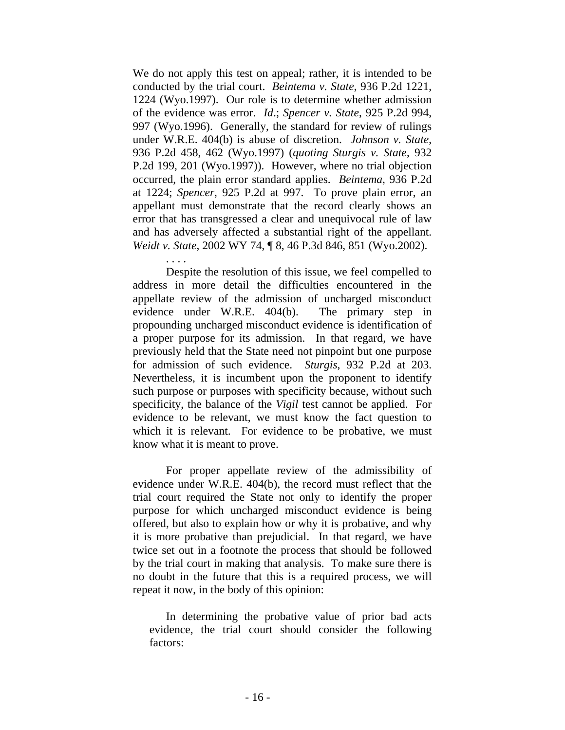We do not apply this test on appeal; rather, it is intended to be conducted by the trial court. *Beintema v. State*, 936 P.2d 1221, 1224 (Wyo.1997). Our role is to determine whether admission of the evidence was error. *Id*.; *Spencer v. State*, 925 P.2d 994, 997 (Wyo.1996). Generally, the standard for review of rulings under W.R.E. 404(b) is abuse of discretion. *Johnson v. State*, 936 P.2d 458, 462 (Wyo.1997) (*quoting Sturgis v. State*, 932 P.2d 199, 201 (Wyo.1997)). However, where no trial objection occurred, the plain error standard applies. *Beintema*, 936 P.2d at 1224; *Spencer*, 925 P.2d at 997. To prove plain error, an appellant must demonstrate that the record clearly shows an error that has transgressed a clear and unequivocal rule of law and has adversely affected a substantial right of the appellant. *Weidt v. State*, 2002 WY 74, ¶ 8, 46 P.3d 846, 851 (Wyo.2002).

. . . . Despite the resolution of this issue, we feel compelled to address in more detail the difficulties encountered in the appellate review of the admission of uncharged misconduct evidence under W.R.E. 404(b). The primary step in propounding uncharged misconduct evidence is identification of a proper purpose for its admission. In that regard, we have previously held that the State need not pinpoint but one purpose for admission of such evidence. *Sturgis*, 932 P.2d at 203. Nevertheless, it is incumbent upon the proponent to identify such purpose or purposes with specificity because, without such specificity, the balance of the *Vigil* test cannot be applied. For evidence to be relevant, we must know the fact question to which it is relevant. For evidence to be probative, we must know what it is meant to prove.

For proper appellate review of the admissibility of evidence under W.R.E. 404(b), the record must reflect that the trial court required the State not only to identify the proper purpose for which uncharged misconduct evidence is being offered, but also to explain how or why it is probative, and why it is more probative than prejudicial. In that regard, we have twice set out in a footnote the process that should be followed by the trial court in making that analysis. To make sure there is no doubt in the future that this is a required process, we will repeat it now, in the body of this opinion:

In determining the probative value of prior bad acts evidence, the trial court should consider the following factors: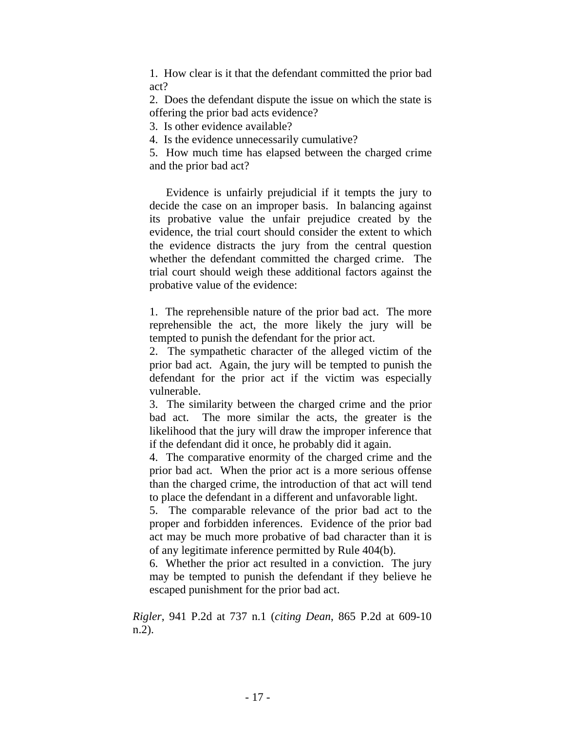1. How clear is it that the defendant committed the prior bad act?

2. Does the defendant dispute the issue on which the state is offering the prior bad acts evidence?

3. Is other evidence available?

4. Is the evidence unnecessarily cumulative?

5. How much time has elapsed between the charged crime and the prior bad act?

Evidence is unfairly prejudicial if it tempts the jury to decide the case on an improper basis. In balancing against its probative value the unfair prejudice created by the evidence, the trial court should consider the extent to which the evidence distracts the jury from the central question whether the defendant committed the charged crime. The trial court should weigh these additional factors against the probative value of the evidence:

1. The reprehensible nature of the prior bad act. The more reprehensible the act, the more likely the jury will be tempted to punish the defendant for the prior act.

2. The sympathetic character of the alleged victim of the prior bad act. Again, the jury will be tempted to punish the defendant for the prior act if the victim was especially vulnerable.

3. The similarity between the charged crime and the prior bad act. The more similar the acts, the greater is the likelihood that the jury will draw the improper inference that if the defendant did it once, he probably did it again.

4. The comparative enormity of the charged crime and the prior bad act. When the prior act is a more serious offense than the charged crime, the introduction of that act will tend to place the defendant in a different and unfavorable light.

5. The comparable relevance of the prior bad act to the proper and forbidden inferences. Evidence of the prior bad act may be much more probative of bad character than it is of any legitimate inference permitted by Rule 404(b).

6. Whether the prior act resulted in a conviction. The jury may be tempted to punish the defendant if they believe he escaped punishment for the prior bad act.

*Rigler*, 941 P.2d at 737 n.1 (*citing Dean*, 865 P.2d at 609-10 n.2).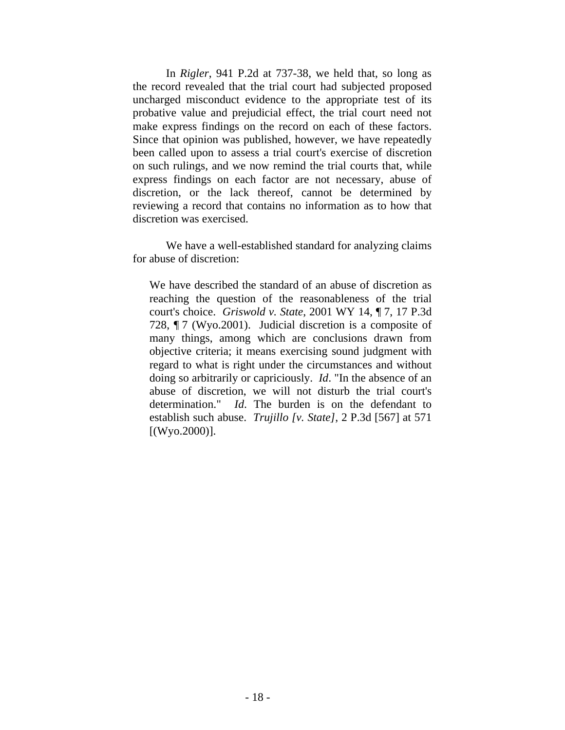In *Rigler*, 941 P.2d at 737-38, we held that, so long as the record revealed that the trial court had subjected proposed uncharged misconduct evidence to the appropriate test of its probative value and prejudicial effect, the trial court need not make express findings on the record on each of these factors. Since that opinion was published, however, we have repeatedly been called upon to assess a trial court's exercise of discretion on such rulings, and we now remind the trial courts that, while express findings on each factor are not necessary, abuse of discretion, or the lack thereof, cannot be determined by reviewing a record that contains no information as to how that discretion was exercised.

We have a well-established standard for analyzing claims for abuse of discretion:

We have described the standard of an abuse of discretion as reaching the question of the reasonableness of the trial court's choice. *Griswold v. State*, 2001 WY 14, ¶ 7, 17 P.3d 728, ¶ 7 (Wyo.2001). Judicial discretion is a composite of many things, among which are conclusions drawn from objective criteria; it means exercising sound judgment with regard to what is right under the circumstances and without doing so arbitrarily or capriciously. *Id*. "In the absence of an abuse of discretion, we will not disturb the trial court's determination." *Id*. The burden is on the defendant to establish such abuse. *Trujillo [v. State]*, 2 P.3d [567] at 571  $[(Wy0.2000)].$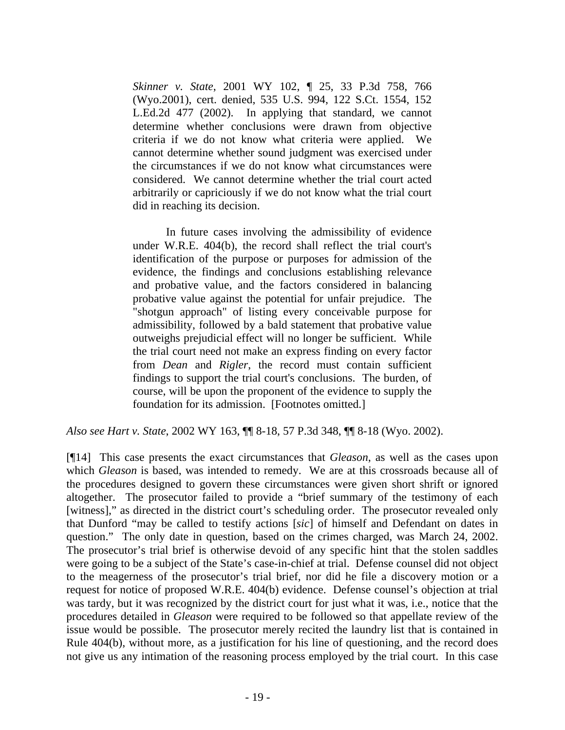*Skinner v. State*, 2001 WY 102, ¶ 25, 33 P.3d 758, 766 (Wyo.2001), cert. denied, 535 U.S. 994, 122 S.Ct. 1554, 152 L.Ed.2d 477 (2002). In applying that standard, we cannot determine whether conclusions were drawn from objective criteria if we do not know what criteria were applied. We cannot determine whether sound judgment was exercised under the circumstances if we do not know what circumstances were considered. We cannot determine whether the trial court acted arbitrarily or capriciously if we do not know what the trial court did in reaching its decision.

In future cases involving the admissibility of evidence under W.R.E. 404(b), the record shall reflect the trial court's identification of the purpose or purposes for admission of the evidence, the findings and conclusions establishing relevance and probative value, and the factors considered in balancing probative value against the potential for unfair prejudice. The "shotgun approach" of listing every conceivable purpose for admissibility, followed by a bald statement that probative value outweighs prejudicial effect will no longer be sufficient. While the trial court need not make an express finding on every factor from *Dean* and *Rigler*, the record must contain sufficient findings to support the trial court's conclusions. The burden, of course, will be upon the proponent of the evidence to supply the foundation for its admission. [Footnotes omitted.]

*Also see Hart v. State*, 2002 WY 163, ¶¶ 8-18, 57 P.3d 348, ¶¶ 8-18 (Wyo. 2002).

[¶14] This case presents the exact circumstances that *Gleason*, as well as the cases upon which *Gleason* is based, was intended to remedy. We are at this crossroads because all of the procedures designed to govern these circumstances were given short shrift or ignored altogether. The prosecutor failed to provide a "brief summary of the testimony of each [witness]," as directed in the district court's scheduling order. The prosecutor revealed only that Dunford "may be called to testify actions [*sic*] of himself and Defendant on dates in question." The only date in question, based on the crimes charged, was March 24, 2002. The prosecutor's trial brief is otherwise devoid of any specific hint that the stolen saddles were going to be a subject of the State's case-in-chief at trial. Defense counsel did not object to the meagerness of the prosecutor's trial brief, nor did he file a discovery motion or a request for notice of proposed W.R.E. 404(b) evidence. Defense counsel's objection at trial was tardy, but it was recognized by the district court for just what it was, i.e., notice that the procedures detailed in *Gleason* were required to be followed so that appellate review of the issue would be possible. The prosecutor merely recited the laundry list that is contained in Rule 404(b), without more, as a justification for his line of questioning, and the record does not give us any intimation of the reasoning process employed by the trial court. In this case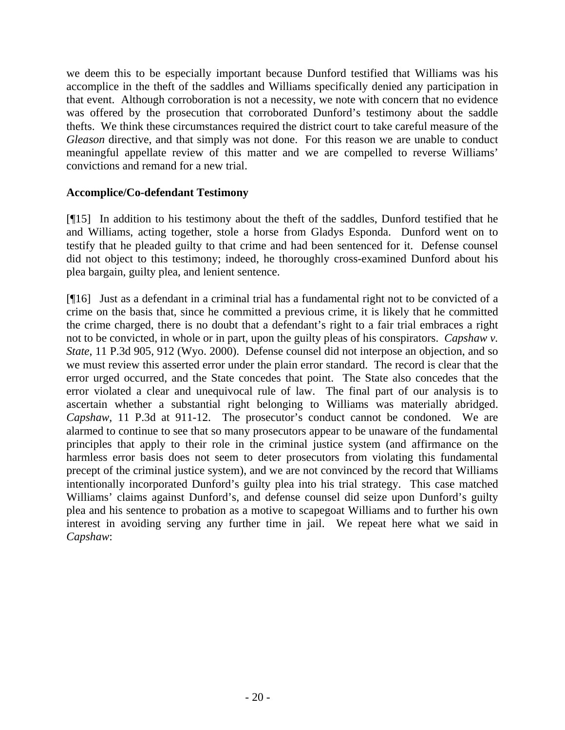we deem this to be especially important because Dunford testified that Williams was his accomplice in the theft of the saddles and Williams specifically denied any participation in that event. Although corroboration is not a necessity, we note with concern that no evidence was offered by the prosecution that corroborated Dunford's testimony about the saddle thefts. We think these circumstances required the district court to take careful measure of the *Gleason* directive, and that simply was not done. For this reason we are unable to conduct meaningful appellate review of this matter and we are compelled to reverse Williams' convictions and remand for a new trial.

# **Accomplice/Co-defendant Testimony**

[¶15] In addition to his testimony about the theft of the saddles, Dunford testified that he and Williams, acting together, stole a horse from Gladys Esponda. Dunford went on to testify that he pleaded guilty to that crime and had been sentenced for it. Defense counsel did not object to this testimony; indeed, he thoroughly cross-examined Dunford about his plea bargain, guilty plea, and lenient sentence.

[¶16] Just as a defendant in a criminal trial has a fundamental right not to be convicted of a crime on the basis that, since he committed a previous crime, it is likely that he committed the crime charged, there is no doubt that a defendant's right to a fair trial embraces a right not to be convicted, in whole or in part, upon the guilty pleas of his conspirators. *Capshaw v. State*, 11 P.3d 905, 912 (Wyo. 2000). Defense counsel did not interpose an objection, and so we must review this asserted error under the plain error standard. The record is clear that the error urged occurred, and the State concedes that point. The State also concedes that the error violated a clear and unequivocal rule of law. The final part of our analysis is to ascertain whether a substantial right belonging to Williams was materially abridged. *Capshaw*, 11 P.3d at 911-12. The prosecutor's conduct cannot be condoned. We are alarmed to continue to see that so many prosecutors appear to be unaware of the fundamental principles that apply to their role in the criminal justice system (and affirmance on the harmless error basis does not seem to deter prosecutors from violating this fundamental precept of the criminal justice system), and we are not convinced by the record that Williams intentionally incorporated Dunford's guilty plea into his trial strategy. This case matched Williams' claims against Dunford's, and defense counsel did seize upon Dunford's guilty plea and his sentence to probation as a motive to scapegoat Williams and to further his own interest in avoiding serving any further time in jail. We repeat here what we said in *Capshaw*: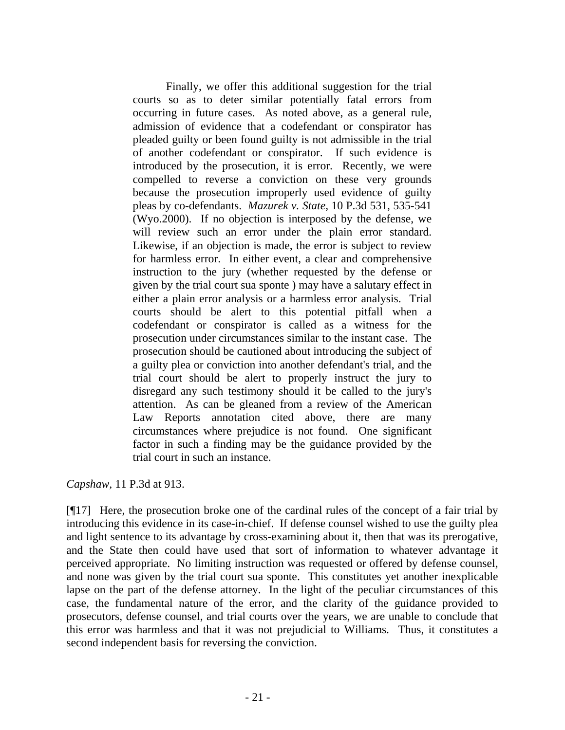Finally, we offer this additional suggestion for the trial courts so as to deter similar potentially fatal errors from occurring in future cases. As noted above, as a general rule, admission of evidence that a codefendant or conspirator has pleaded guilty or been found guilty is not admissible in the trial of another codefendant or conspirator. If such evidence is introduced by the prosecution, it is error. Recently, we were compelled to reverse a conviction on these very grounds because the prosecution improperly used evidence of guilty pleas by co-defendants. *Mazurek v. State*, 10 P.3d 531, 535-541 (Wyo.2000). If no objection is interposed by the defense, we will review such an error under the plain error standard. Likewise, if an objection is made, the error is subject to review for harmless error. In either event, a clear and comprehensive instruction to the jury (whether requested by the defense or given by the trial court sua sponte ) may have a salutary effect in either a plain error analysis or a harmless error analysis. Trial courts should be alert to this potential pitfall when a codefendant or conspirator is called as a witness for the prosecution under circumstances similar to the instant case. The prosecution should be cautioned about introducing the subject of a guilty plea or conviction into another defendant's trial, and the trial court should be alert to properly instruct the jury to disregard any such testimony should it be called to the jury's attention. As can be gleaned from a review of the American Law Reports annotation cited above, there are many circumstances where prejudice is not found. One significant factor in such a finding may be the guidance provided by the trial court in such an instance.

*Capshaw,* 11 P.3d at 913.

[¶17] Here, the prosecution broke one of the cardinal rules of the concept of a fair trial by introducing this evidence in its case-in-chief. If defense counsel wished to use the guilty plea and light sentence to its advantage by cross-examining about it, then that was its prerogative, and the State then could have used that sort of information to whatever advantage it perceived appropriate. No limiting instruction was requested or offered by defense counsel, and none was given by the trial court sua sponte. This constitutes yet another inexplicable lapse on the part of the defense attorney. In the light of the peculiar circumstances of this case, the fundamental nature of the error, and the clarity of the guidance provided to prosecutors, defense counsel, and trial courts over the years, we are unable to conclude that this error was harmless and that it was not prejudicial to Williams. Thus, it constitutes a second independent basis for reversing the conviction.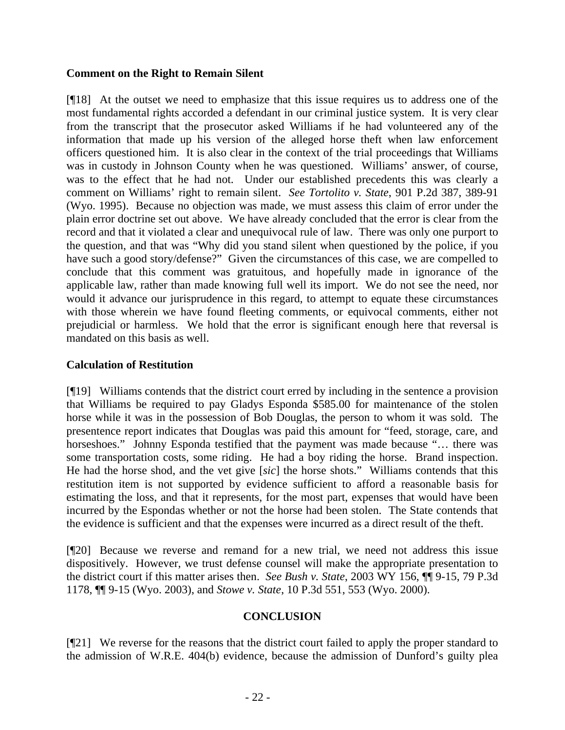# **Comment on the Right to Remain Silent**

[¶18] At the outset we need to emphasize that this issue requires us to address one of the most fundamental rights accorded a defendant in our criminal justice system. It is very clear from the transcript that the prosecutor asked Williams if he had volunteered any of the information that made up his version of the alleged horse theft when law enforcement officers questioned him. It is also clear in the context of the trial proceedings that Williams was in custody in Johnson County when he was questioned. Williams' answer, of course, was to the effect that he had not. Under our established precedents this was clearly a comment on Williams' right to remain silent. *See Tortolito v. State*, 901 P.2d 387, 389-91 (Wyo. 1995). Because no objection was made, we must assess this claim of error under the plain error doctrine set out above. We have already concluded that the error is clear from the record and that it violated a clear and unequivocal rule of law. There was only one purport to the question, and that was "Why did you stand silent when questioned by the police, if you have such a good story/defense?" Given the circumstances of this case, we are compelled to conclude that this comment was gratuitous, and hopefully made in ignorance of the applicable law, rather than made knowing full well its import. We do not see the need, nor would it advance our jurisprudence in this regard, to attempt to equate these circumstances with those wherein we have found fleeting comments, or equivocal comments, either not prejudicial or harmless. We hold that the error is significant enough here that reversal is mandated on this basis as well.

# **Calculation of Restitution**

[¶19] Williams contends that the district court erred by including in the sentence a provision that Williams be required to pay Gladys Esponda \$585.00 for maintenance of the stolen horse while it was in the possession of Bob Douglas, the person to whom it was sold. The presentence report indicates that Douglas was paid this amount for "feed, storage, care, and horseshoes." Johnny Esponda testified that the payment was made because "... there was some transportation costs, some riding. He had a boy riding the horse. Brand inspection. He had the horse shod, and the vet give [*sic*] the horse shots." Williams contends that this restitution item is not supported by evidence sufficient to afford a reasonable basis for estimating the loss, and that it represents, for the most part, expenses that would have been incurred by the Espondas whether or not the horse had been stolen. The State contends that the evidence is sufficient and that the expenses were incurred as a direct result of the theft.

[¶20] Because we reverse and remand for a new trial, we need not address this issue dispositively. However, we trust defense counsel will make the appropriate presentation to the district court if this matter arises then. *See Bush v. State*, 2003 WY 156, ¶¶ 9-15, 79 P.3d 1178, ¶¶ 9-15 (Wyo. 2003), and *Stowe v. State*, 10 P.3d 551, 553 (Wyo. 2000).

## **CONCLUSION**

[¶21] We reverse for the reasons that the district court failed to apply the proper standard to the admission of W.R.E. 404(b) evidence, because the admission of Dunford's guilty plea